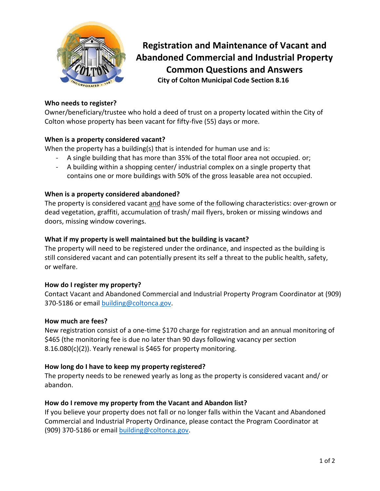

**Registration and Maintenance of Vacant and Abandoned Commercial and Industrial Property Common Questions and Answers City of Colton Municipal Code Section 8.16**

# **Who needs to register?**

Owner/beneficiary/trustee who hold a deed of trust on a property located within the City of Colton whose property has been vacant for fifty-five (55) days or more.

# **When is a property considered vacant?**

When the property has a building(s) that is intended for human use and is:

- A single building that has more than 35% of the total floor area not occupied. or;
- A building within a shopping center/ industrial complex on a single property that contains one or more buildings with 50% of the gross leasable area not occupied.

#### **When is a property considered abandoned?**

The property is considered vacant and have some of the following characteristics: over-grown or dead vegetation, graffiti, accumulation of trash/ mail flyers, broken or missing windows and doors, missing window coverings.

# **What if my property is well maintained but the building is vacant?**

The property will need to be registered under the ordinance, and inspected as the building is still considered vacant and can potentially present its self a threat to the public health, safety, or welfare.

# **How do I register my property?**

Contact Vacant and Abandoned Commercial and Industrial Property Program Coordinator at (909) 370-5186 or emai[l building@coltonca.gov.](mailto:building@coltonca.gov)

#### **How much are fees?**

New registration consist of a one-time \$170 charge for registration and an annual monitoring of \$465 (the monitoring fee is due no later than 90 days following vacancy per section 8.16.080(c)(2)). Yearly renewal is \$465 for property monitoring.

#### **How long do I have to keep my property registered?**

The property needs to be renewed yearly as long as the property is considered vacant and/ or abandon.

# **How do I remove my property from the Vacant and Abandon list?**

If you believe your property does not fall or no longer falls within the Vacant and Abandoned Commercial and Industrial Property Ordinance, please contact the Program Coordinator at (909) 370-5186 or email [building@coltonca.gov.](mailto:building@coltonca.gov)